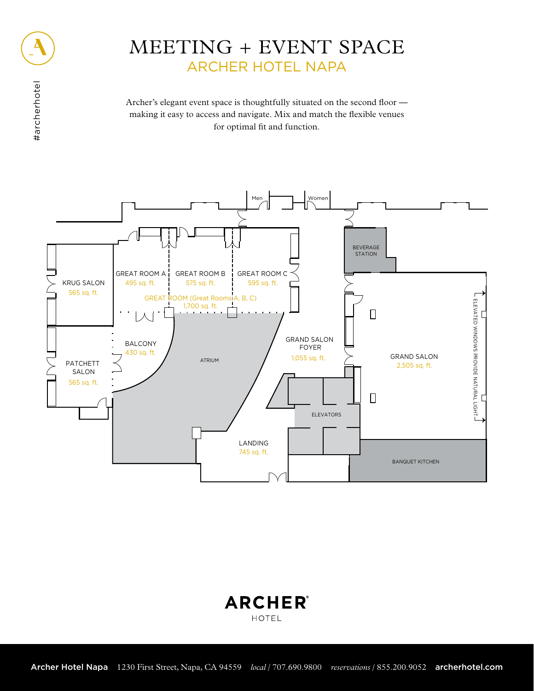## MEETING + EVENT SPACE ARCHER HOTEL NAPA

Archer's elegant event space is thoughtfully situated on the second floor making it easy to access and navigate. Mix and match the flexible venues for optimal fit and function.



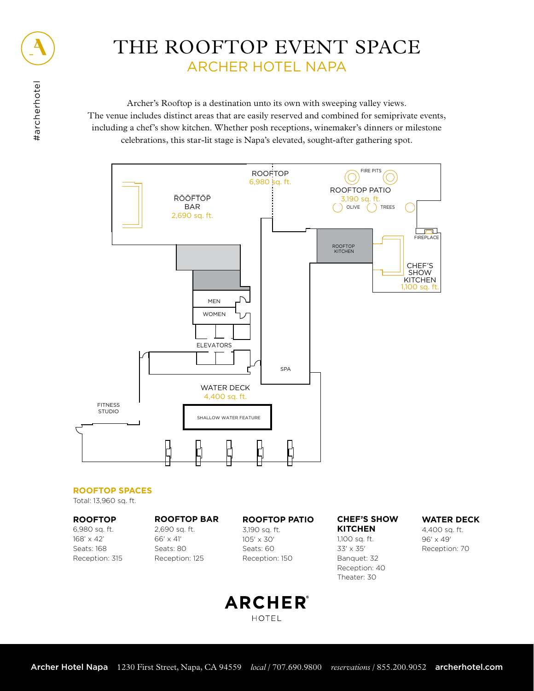

Archer's Rooftop is a destination unto its own with sweeping valley views. The venue includes distinct areas that are easily reserved and combined for semiprivate events, including a chef's show kitchen. Whether posh receptions, winemaker's dinners or milestone celebrations, this star-lit stage is Napa's elevated, sought-after gathering spot.



#### **ROOFTOP SPACES**

Total: 13,960 sq. ft.

**ROOFTOP** 6,980 sq. ft. 168' x 42' Seats: 168 Reception: 315

**ROOFTOP BAR** 2,690 sq. ft. 66' x 41' Seats: 80 Reception: 125

**ROOFTOP PATIO**

3,190 sq. ft. 105' x 30' Seats: 60 Reception: 150

#### **CHEF'S SHOW KITCHEN**

1,100 sq. ft. 33' x 35' Banquet: 32 Reception: 40 Theater: 30

#### **WATER DECK**

4,400 sq. ft. 96' x 49' Reception: 70

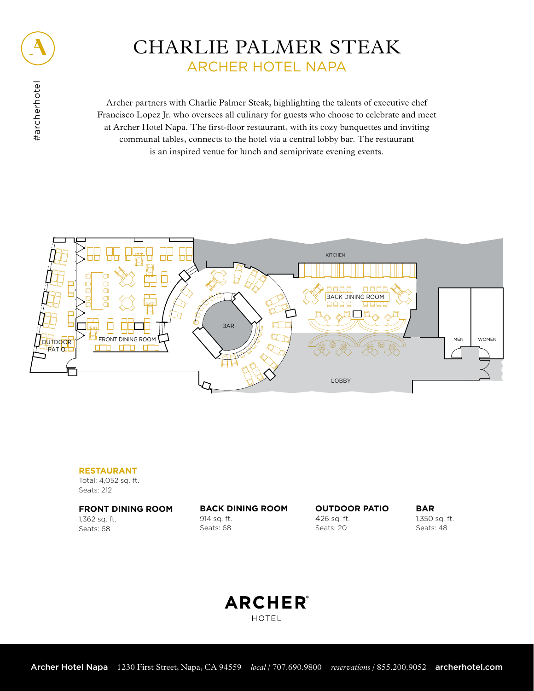

# #archerhotel #archerhotel

## CHARLIE PALMER STEAK ARCHER HOTEL NAPA

Archer partners with Charlie Palmer Steak, highlighting the talents of executive chef Francisco Lopez Jr. who oversees all culinary for guests who choose to celebrate and meet at Archer Hotel Napa. The first-floor restaurant, with its cozy banquettes and inviting communal tables, connects to the hotel via a central lobby bar. The restaurant is an inspired venue for lunch and semiprivate evening events.



#### **RESTAURANT**

Total: 4,052 sq. ft. Seats: 212

#### **FRONT DINING ROOM**

1,362 sq. ft. Seats: 68

### **BACK DINING ROOM**

914 sq. ft. Seats: 68

**OUTDOOR PATIO** 426 sq. ft. Seats: 20

**BAR** 1,350 sq. ft. Seats: 48